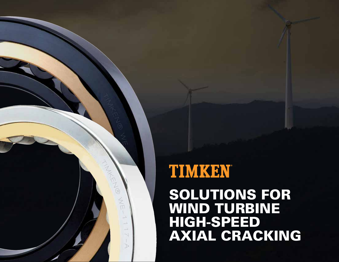

# TIMKEN

## SOLUTIONS FOR WIND TURBINE HIGH-SPEED AXIAL CRACKING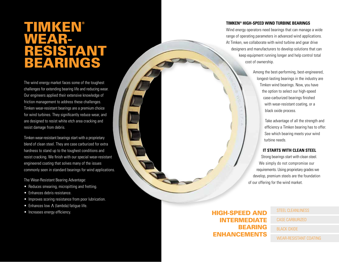## TIMKEN ® WEAR-RESISTANT BEARINGS

The wind energy market faces some of the toughest challenges for extending bearing life and reducing wear. Our engineers applied their extensive knowledge of friction management to address these challenges. Timken wear-resistant bearings are a premium choice for wind turbines. They significantly reduce wear, and are designed to resist white etch area cracking and resist damage from debris.

Timken wear-resistant bearings start with a proprietary blend of clean steel. They are case carburized for extra hardness to stand up to the toughest conditions and resist cracking. We finish with our special wear-resistant engineered coating that solves many of the issues commonly seen in standard bearings for wind applications.

The Wear-Resistant Bearing Advantage:

- Reduces smearing, micropitting and fretting.
- Enhances debris resistance.
- Improves scoring resistance from poor lubrication.
- Enhances low  $\Lambda$  (lambda) fatigue life.
- Increases energy efficiency.

### **TIMKEN ® HIGH-SPEED WIND TURBINE BEARINGS**

Wind energy operators need bearings that can manage a wide range of operating parameters in advanced wind applications. At Timken, we collaborate with wind turbine and gear drive designers and manufacturers to develop solutions that can keep equipment running longer and help control total cost of ownership.

> Among the best-performing, best-engineered, longest-lasting bearings in the industry are Timken wind bearings. Now, you have the option to select our high-speed case-carburized bearings finished with wear-resistant coating, or a black oxide process.

> > Take advantage of all the strength and efficiency a Timken bearing has to offer. See which bearing meets your wind turbine needs.

### **IT STARTS WITH CLEAN STEEL**

Strong bearings start with clean steel. We simply do not compromise our requirements. Using proprietary grades we develop, premium steels are the foundation of our offering for the wind market.

HIGH-SPEED AND INTERMEDIATE BEARING ENHANCEMENTS

## STEEL CLEANLINESS

CASE CARBURIZED

BLACK OXIDE

WEAR-RESISTANT COATING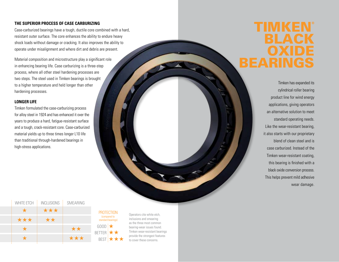### **THE SUPERIOR PROCESS OF CASE CARBURIZING**

Case-carburized bearings have a tough, ductile core combined with a hard, resistant outer surface. The core enhances the ability to endure heavy shock loads without damage or cracking. It also improves the ability to operate under misalignment and where dirt and debris are present.

Material composition and microstructure play a significant role in enhancing bearing life. Case carburizing is a three-step process, where all other steel hardening processes are two steps. The steel used in Timken bearings is brought to a higher temperature and held longer than other hardening processes.

### **LONGER LIFE**

Timken formulated the case-carburizing process for alloy steel in 1924 and has enhanced it over the years to produce a hard, fatigue-resistant surface and a tough, crack-resistant core. Case-carburized material yields up to three times longer L10 life than traditional through-hardened bearings in high-stress applications.

## **TIMKEN**® BLACK **OXIDE** BEARINGS

Timken has expanded its cylindrical roller bearing product line for wind energy applications, giving operators an alternative solution to meet standard operating needs. Like the wear-resistant bearing, it also starts with our proprietary blend of clean steel and is case carburized. Instead of the Timken wear-resistant coating, this bearing is finished with a black oxide conversion process. This helps prevent mild adhesive wear damage.

| <b>WHITE FTCH</b> | <b>INCLUSIONS</b> | <b>SMFARING</b> |
|-------------------|-------------------|-----------------|
|                   | ★★★               |                 |
| ***               | **                |                 |
|                   |                   | **              |
|                   |                   | ***             |
|                   |                   |                 |

## $GOOD: \rightarrow$ BETTER **:**  $BEST \rightarrow \bigstar$ (compared to standard bearings) **PROTECTION**

Operators cite white etch, inclusions and smearing as the three most common bearing-wear issues found. Timken wear-resistant bearings provide the strongest features to cover these concerns.